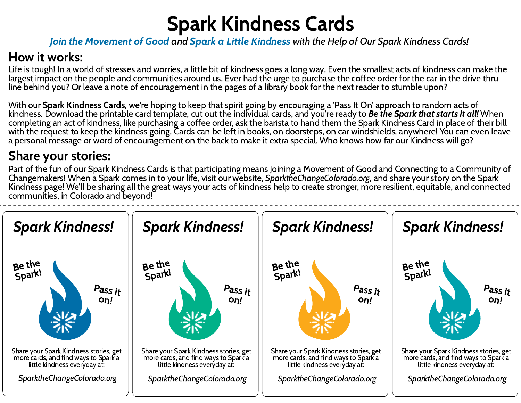## Spark Kindness Cards Join the Movement of Good and Spark a Little Kindness with the Help of Our Spark Kindness Cards!

## How it works:

Life is tough! In a world of stresses and worries, a little bit of kindness goes a long way. Even the smallest acts of kindness can make the largest impact on the people and communities around us. Ever had the urge to purchase the coffee order for the car in the drive thru line behind you? Or leave a note of encouragement in the pages of a library book for the next reader to stumble upon?

With our Spark Kindness Cards, we're hoping to keep that spirit going by encouraging a 'Pass It On' approach to random acts of kindness. Download the printable card template, cut out the individual cards, and you're ready to **Be the Spark that starts it all!** When completing an act of kindness, like purchasing a coffee order, ask the barista to hand them the Spark Kindness Card in place of their bill with the request to keep the kindness going. Cards can be left in books, on doorsteps, on car windshields, anywhere! You can even leave a personal message or word of encouragement on the back to make it extra special. Who knows how far our Kindness will go?



## Share your stories:

Part of the fun of our Spark Kindness Cards is that participating means Joining a Movement of Good and Connecting to a Community of Changemakers! When a Spark comes in to your life, visit our website, SparktheChangeColorado.org, and share your story on the Spark Kindness page! We'll be sharing all the great ways your acts of kindness help to create stronger, more resilient, equitable, and connected communities, in Colorado and beyond!